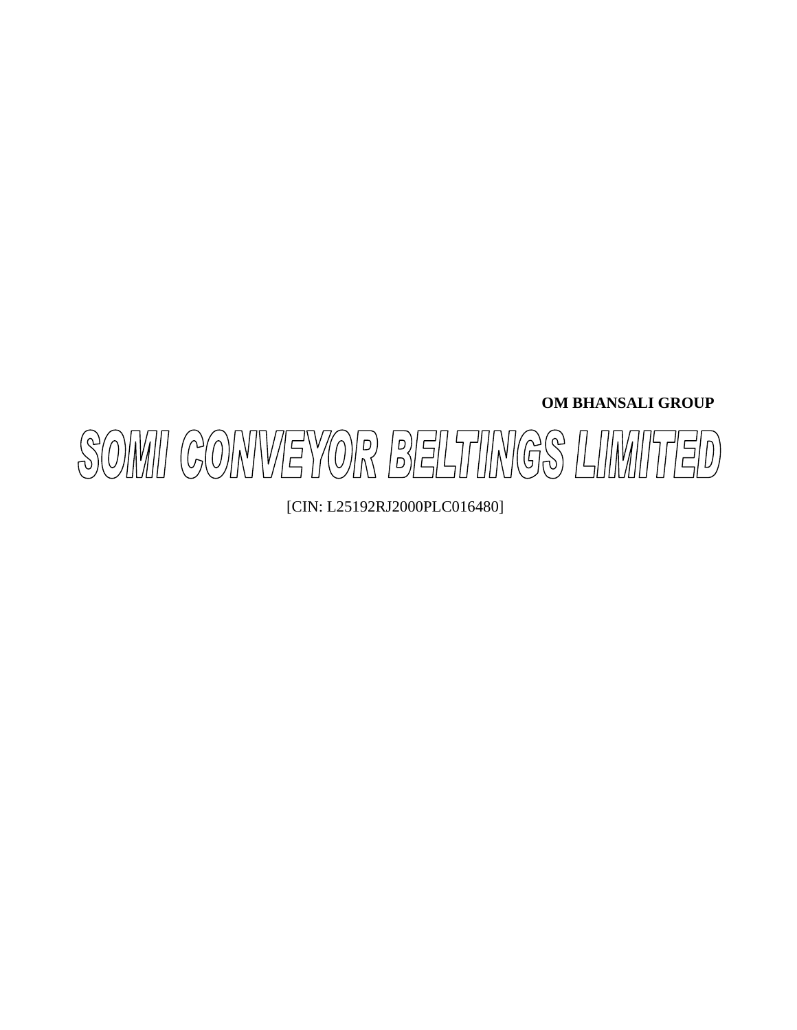**OM BHANSALI GROUP** 



[CIN: L25192RJ2000PLC016480]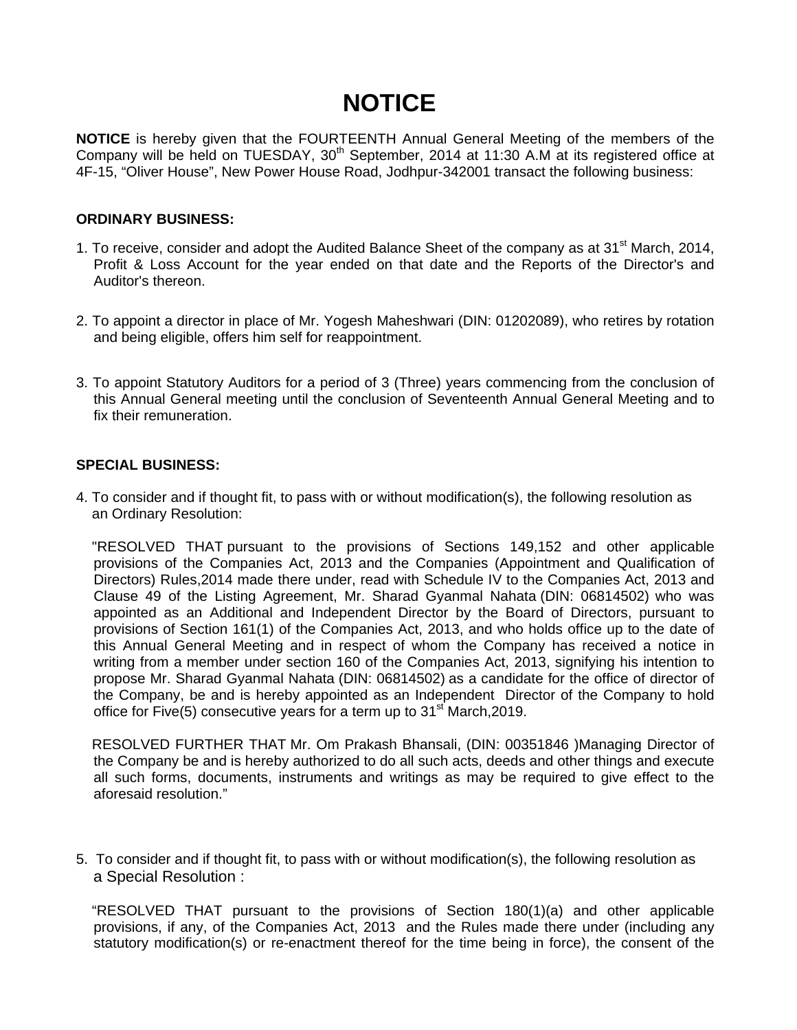# **NOTICE**

**NOTICE** is hereby given that the FOURTEENTH Annual General Meeting of the members of the Company will be held on TUESDAY, 30<sup>th</sup> September, 2014 at 11:30 A.M at its registered office at 4F-15, "Oliver House", New Power House Road, Jodhpur-342001 transact the following business:

### **ORDINARY BUSINESS:**

- 1. To receive, consider and adopt the Audited Balance Sheet of the company as at  $31<sup>st</sup>$  March, 2014, Profit & Loss Account for the year ended on that date and the Reports of the Director's and Auditor's thereon.
- 2. To appoint a director in place of Mr. Yogesh Maheshwari (DIN: 01202089), who retires by rotation and being eligible, offers him self for reappointment.
- 3. To appoint Statutory Auditors for a period of 3 (Three) years commencing from the conclusion of this Annual General meeting until the conclusion of Seventeenth Annual General Meeting and to fix their remuneration.

## **SPECIAL BUSINESS:**

4. To consider and if thought fit, to pass with or without modification(s), the following resolution as an Ordinary Resolution:

 "RESOLVED THAT pursuant to the provisions of Sections 149,152 and other applicable provisions of the Companies Act, 2013 and the Companies (Appointment and Qualification of Directors) Rules,2014 made there under, read with Schedule IV to the Companies Act, 2013 and Clause 49 of the Listing Agreement, Mr. Sharad Gyanmal Nahata (DIN: 06814502) who was appointed as an Additional and Independent Director by the Board of Directors, pursuant to provisions of Section 161(1) of the Companies Act, 2013, and who holds office up to the date of this Annual General Meeting and in respect of whom the Company has received a notice in writing from a member under section 160 of the Companies Act, 2013, signifying his intention to propose Mr. Sharad Gyanmal Nahata (DIN: 06814502) as a candidate for the office of director of the Company, be and is hereby appointed as an Independent Director of the Company to hold office for Five(5) consecutive years for a term up to  $31<sup>st</sup>$  March, 2019.

 RESOLVED FURTHER THAT Mr. Om Prakash Bhansali, (DIN: 00351846 )Managing Director of the Company be and is hereby authorized to do all such acts, deeds and other things and execute all such forms, documents, instruments and writings as may be required to give effect to the aforesaid resolution."

5. To consider and if thought fit, to pass with or without modification(s), the following resolution as a Special Resolution :

 "RESOLVED THAT pursuant to the provisions of Section 180(1)(a) and other applicable provisions, if any, of the Companies Act, 2013 and the Rules made there under (including any statutory modification(s) or re-enactment thereof for the time being in force), the consent of the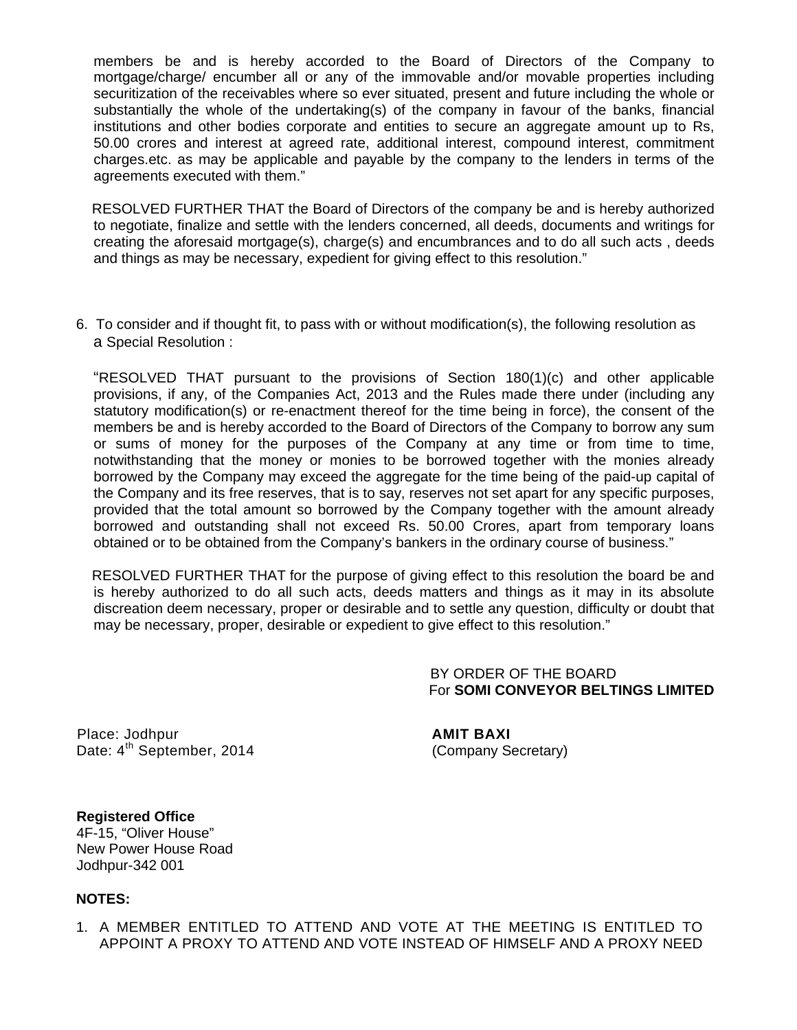members be and is hereby accorded to the Board of Directors of the Company to mortgage/charge/ encumber all or any of the immovable and/or movable properties including securitization of the receivables where so ever situated, present and future including the whole or substantially the whole of the undertaking(s) of the company in favour of the banks, financial institutions and other bodies corporate and entities to secure an aggregate amount up to Rs, 50.00 crores and interest at agreed rate, additional interest, compound interest, commitment charges.etc. as may be applicable and payable by the company to the lenders in terms of the agreements executed with them."

 RESOLVED FURTHER THAT the Board of Directors of the company be and is hereby authorized to negotiate, finalize and settle with the lenders concerned, all deeds, documents and writings for creating the aforesaid mortgage(s), charge(s) and encumbrances and to do all such acts , deeds and things as may be necessary, expedient for giving effect to this resolution."

6. To consider and if thought fit, to pass with or without modification(s), the following resolution as a Special Resolution :

 "RESOLVED THAT pursuant to the provisions of Section 180(1)(c) and other applicable provisions, if any, of the Companies Act, 2013 and the Rules made there under (including any statutory modification(s) or re-enactment thereof for the time being in force), the consent of the members be and is hereby accorded to the Board of Directors of the Company to borrow any sum or sums of money for the purposes of the Company at any time or from time to time, notwithstanding that the money or monies to be borrowed together with the monies already borrowed by the Company may exceed the aggregate for the time being of the paid-up capital of the Company and its free reserves, that is to say, reserves not set apart for any specific purposes, provided that the total amount so borrowed by the Company together with the amount already borrowed and outstanding shall not exceed Rs. 50.00 Crores, apart from temporary loans obtained or to be obtained from the Company's bankers in the ordinary course of business."

 RESOLVED FURTHER THAT for the purpose of giving effect to this resolution the board be and is hereby authorized to do all such acts, deeds matters and things as it may in its absolute discreation deem necessary, proper or desirable and to settle any question, difficulty or doubt that may be necessary, proper, desirable or expedient to give effect to this resolution."

> BY ORDER OF THE BOARD For **SOMI CONVEYOR BELTINGS LIMITED**

Place: Jodhpur **AMIT BAXI** Date:  $4^{th}$  September, 2014 (Company Secretary)

**Registered Office**  4F-15, "Oliver House" New Power House Road Jodhpur-342 001

#### **NOTES:**

1. A MEMBER ENTITLED TO ATTEND AND VOTE AT THE MEETING IS ENTITLED TO APPOINT A PROXY TO ATTEND AND VOTE INSTEAD OF HIMSELF AND A PROXY NEED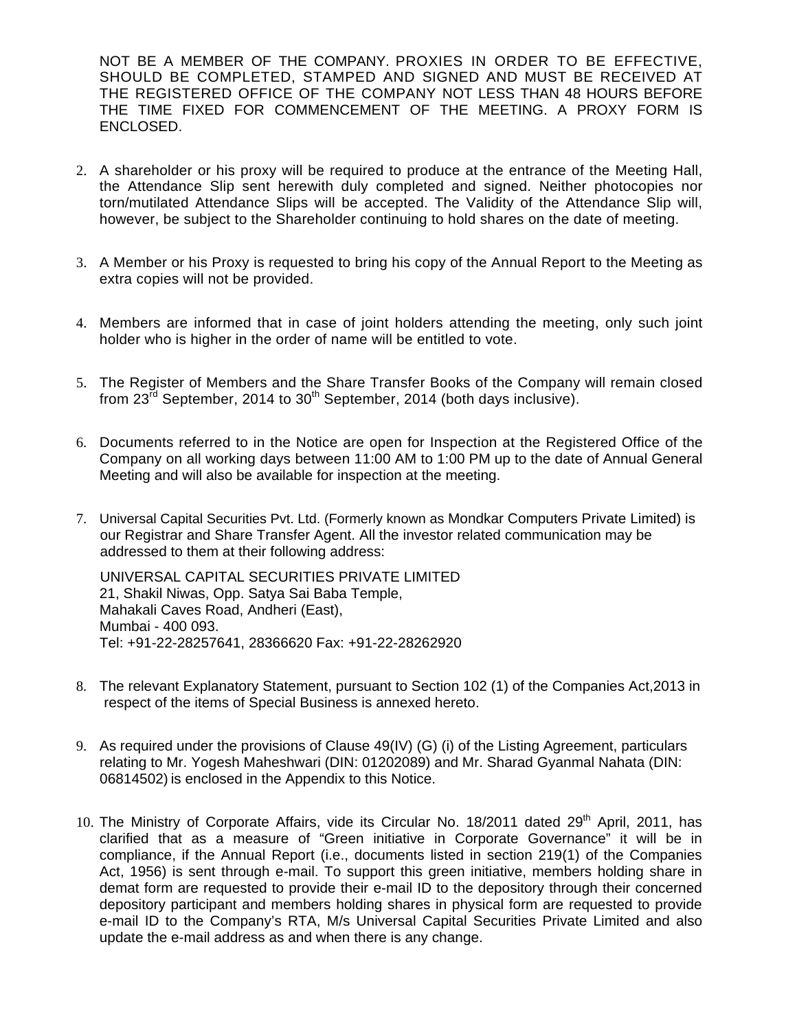NOT BE A MEMBER OF THE COMPANY. PROXIES IN ORDER TO BE EFFECTIVE, SHOULD BE COMPLETED, STAMPED AND SIGNED AND MUST BE RECEIVED AT THE REGISTERED OFFICE OF THE COMPANY NOT LESS THAN 48 HOURS BEFORE THE TIME FIXED FOR COMMENCEMENT OF THE MEETING. A PROXY FORM IS ENCLOSED.

- 2. A shareholder or his proxy will be required to produce at the entrance of the Meeting Hall, the Attendance Slip sent herewith duly completed and signed. Neither photocopies nor torn/mutilated Attendance Slips will be accepted. The Validity of the Attendance Slip will, however, be subject to the Shareholder continuing to hold shares on the date of meeting.
- 3. A Member or his Proxy is requested to bring his copy of the Annual Report to the Meeting as extra copies will not be provided.
- 4. Members are informed that in case of joint holders attending the meeting, only such joint holder who is higher in the order of name will be entitled to vote.
- 5. The Register of Members and the Share Transfer Books of the Company will remain closed from  $23^{\overline{r}d}$  September, 2014 to  $30^{\text{th}}$  September, 2014 (both days inclusive).
- 6. Documents referred to in the Notice are open for Inspection at the Registered Office of the Company on all working days between 11:00 AM to 1:00 PM up to the date of Annual General Meeting and will also be available for inspection at the meeting.
- 7. Universal Capital Securities Pvt. Ltd. (Formerly known as Mondkar Computers Private Limited) is our Registrar and Share Transfer Agent. All the investor related communication may be addressed to them at their following address:

 UNIVERSAL CAPITAL SECURITIES PRIVATE LIMITED 21, Shakil Niwas, Opp. Satya Sai Baba Temple, Mahakali Caves Road, Andheri (East), Mumbai - 400 093. Tel: +91-22-28257641, 28366620 Fax: +91-22-28262920

- 8. The relevant Explanatory Statement, pursuant to Section 102 (1) of the Companies Act,2013 in respect of the items of Special Business is annexed hereto.
- 9. As required under the provisions of Clause 49(IV) (G) (i) of the Listing Agreement, particulars relating to Mr. Yogesh Maheshwari (DIN: 01202089) and Mr. Sharad Gyanmal Nahata (DIN: 06814502) is enclosed in the Appendix to this Notice.
- 10. The Ministry of Corporate Affairs, vide its Circular No. 18/2011 dated 29<sup>th</sup> April, 2011, has clarified that as a measure of "Green initiative in Corporate Governance" it will be in compliance, if the Annual Report (i.e., documents listed in section 219(1) of the Companies Act, 1956) is sent through e-mail. To support this green initiative, members holding share in demat form are requested to provide their e-mail ID to the depository through their concerned depository participant and members holding shares in physical form are requested to provide e-mail ID to the Company's RTA, M/s Universal Capital Securities Private Limited and also update the e-mail address as and when there is any change.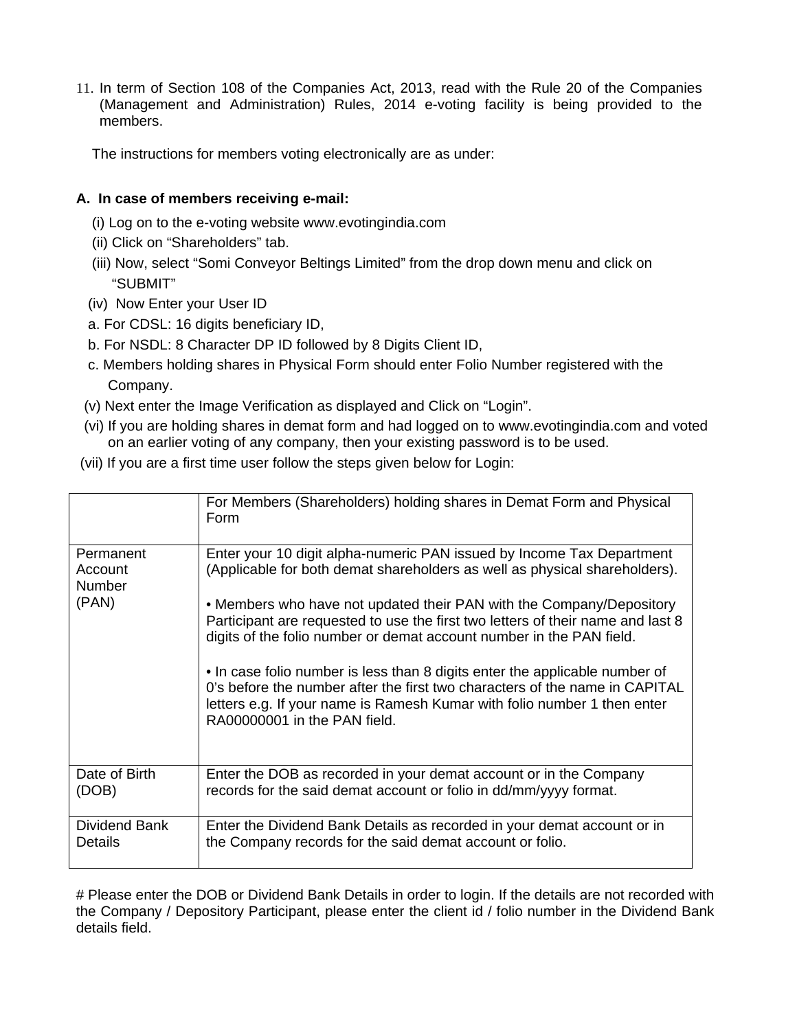11. In term of Section 108 of the Companies Act, 2013, read with the Rule 20 of the Companies (Management and Administration) Rules, 2014 e-voting facility is being provided to the members.

The instructions for members voting electronically are as under:

# **A. In case of members receiving e-mail:**

- (i) Log on to the e-voting website www.evotingindia.com
- (ii) Click on "Shareholders" tab.
- (iii) Now, select "Somi Conveyor Beltings Limited" from the drop down menu and click on "SUBMIT"
- (iv) Now Enter your User ID
- a. For CDSL: 16 digits beneficiary ID,
- b. For NSDL: 8 Character DP ID followed by 8 Digits Client ID,
- c. Members holding shares in Physical Form should enter Folio Number registered with the Company.
- (v) Next enter the Image Verification as displayed and Click on "Login".
- (vi) If you are holding shares in demat form and had logged on to www.evotingindia.com and voted on an earlier voting of any company, then your existing password is to be used.
- (vii) If you are a first time user follow the steps given below for Login:

|                                                | For Members (Shareholders) holding shares in Demat Form and Physical<br>Form                                                                                                                                                                                                                                                                                                                                                                                                                                                                                                                                                     |
|------------------------------------------------|----------------------------------------------------------------------------------------------------------------------------------------------------------------------------------------------------------------------------------------------------------------------------------------------------------------------------------------------------------------------------------------------------------------------------------------------------------------------------------------------------------------------------------------------------------------------------------------------------------------------------------|
| Permanent<br>Account<br><b>Number</b><br>(PAN) | Enter your 10 digit alpha-numeric PAN issued by Income Tax Department<br>(Applicable for both demat shareholders as well as physical shareholders).<br>• Members who have not updated their PAN with the Company/Depository<br>Participant are requested to use the first two letters of their name and last 8<br>digits of the folio number or demat account number in the PAN field.<br>• In case folio number is less than 8 digits enter the applicable number of<br>0's before the number after the first two characters of the name in CAPITAL<br>letters e.g. If your name is Ramesh Kumar with folio number 1 then enter |
|                                                | RA00000001 in the PAN field.                                                                                                                                                                                                                                                                                                                                                                                                                                                                                                                                                                                                     |
| Date of Birth<br>(DOB)                         | Enter the DOB as recorded in your demat account or in the Company<br>records for the said demat account or folio in dd/mm/yyyy format.                                                                                                                                                                                                                                                                                                                                                                                                                                                                                           |
| Dividend Bank<br>Details                       | Enter the Dividend Bank Details as recorded in your demat account or in<br>the Company records for the said demat account or folio.                                                                                                                                                                                                                                                                                                                                                                                                                                                                                              |

# Please enter the DOB or Dividend Bank Details in order to login. If the details are not recorded with the Company / Depository Participant, please enter the client id / folio number in the Dividend Bank details field.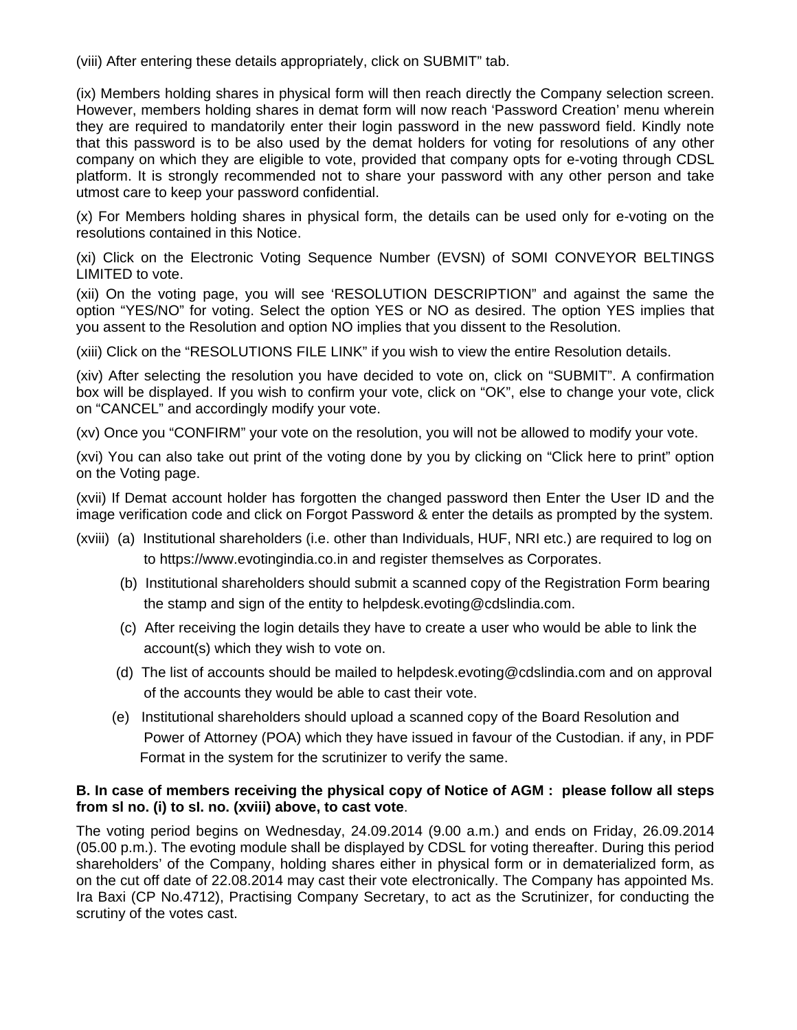(viii) After entering these details appropriately, click on SUBMIT" tab.

(ix) Members holding shares in physical form will then reach directly the Company selection screen. However, members holding shares in demat form will now reach 'Password Creation' menu wherein they are required to mandatorily enter their login password in the new password field. Kindly note that this password is to be also used by the demat holders for voting for resolutions of any other company on which they are eligible to vote, provided that company opts for e-voting through CDSL platform. It is strongly recommended not to share your password with any other person and take utmost care to keep your password confidential.

(x) For Members holding shares in physical form, the details can be used only for e-voting on the resolutions contained in this Notice.

(xi) Click on the Electronic Voting Sequence Number (EVSN) of SOMI CONVEYOR BELTINGS LIMITED to vote.

(xii) On the voting page, you will see 'RESOLUTION DESCRIPTION" and against the same the option "YES/NO" for voting. Select the option YES or NO as desired. The option YES implies that you assent to the Resolution and option NO implies that you dissent to the Resolution.

(xiii) Click on the "RESOLUTIONS FILE LINK" if you wish to view the entire Resolution details.

(xiv) After selecting the resolution you have decided to vote on, click on "SUBMIT". A confirmation box will be displayed. If you wish to confirm your vote, click on "OK", else to change your vote, click on "CANCEL" and accordingly modify your vote.

(xv) Once you "CONFIRM" your vote on the resolution, you will not be allowed to modify your vote.

(xvi) You can also take out print of the voting done by you by clicking on "Click here to print" option on the Voting page.

(xvii) If Demat account holder has forgotten the changed password then Enter the User ID and the image verification code and click on Forgot Password & enter the details as prompted by the system.

- (xviii) (a) Institutional shareholders (i.e. other than Individuals, HUF, NRI etc.) are required to log on to https://www.evotingindia.co.in and register themselves as Corporates.
	- (b) Institutional shareholders should submit a scanned copy of the Registration Form bearing the stamp and sign of the entity to helpdesk.evoting@cdslindia.com.
	- (c) After receiving the login details they have to create a user who would be able to link the account(s) which they wish to vote on.
	- (d) The list of accounts should be mailed to helpdesk.evoting@cdslindia.com and on approval of the accounts they would be able to cast their vote.
	- (e) Institutional shareholders should upload a scanned copy of the Board Resolution and Power of Attorney (POA) which they have issued in favour of the Custodian. if any, in PDF Format in the system for the scrutinizer to verify the same.

#### **B. In case of members receiving the physical copy of Notice of AGM : please follow all steps from sl no. (i) to sI. no. (xviii) above, to cast vote**.

The voting period begins on Wednesday, 24.09.2014 (9.00 a.m.) and ends on Friday, 26.09.2014 (05.00 p.m.). The evoting module shall be displayed by CDSL for voting thereafter. During this period shareholders' of the Company, holding shares either in physical form or in dematerialized form, as on the cut off date of 22.08.2014 may cast their vote electronically. The Company has appointed Ms. Ira Baxi (CP No.4712), Practising Company Secretary, to act as the Scrutinizer, for conducting the scrutiny of the votes cast.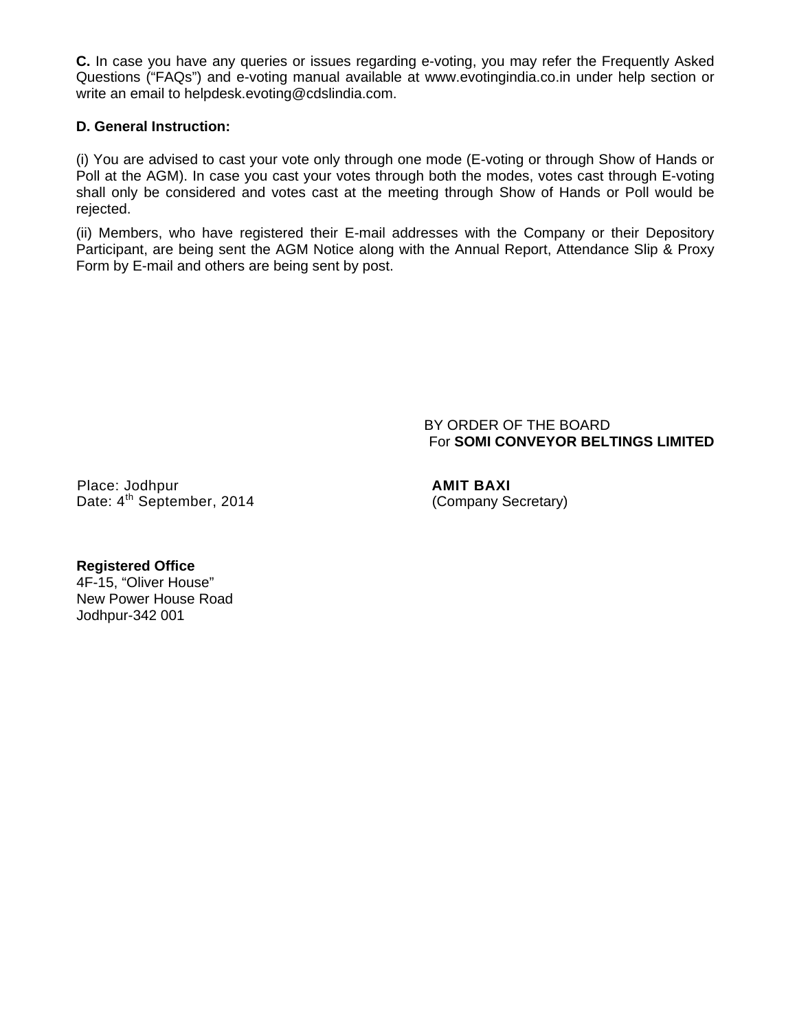**C.** In case you have any queries or issues regarding e-voting, you may refer the Frequently Asked Questions ("FAQs") and e-voting manual available at www.evotingindia.co.in under help section or write an email to helpdesk.evoting@cdslindia.com.

## **D. General Instruction:**

(i) You are advised to cast your vote only through one mode (E-voting or through Show of Hands or Poll at the AGM). In case you cast your votes through both the modes, votes cast through E-voting shall only be considered and votes cast at the meeting through Show of Hands or Poll would be rejected.

(ii) Members, who have registered their E-mail addresses with the Company or their Depository Participant, are being sent the AGM Notice along with the Annual Report, Attendance Slip & Proxy Form by E-mail and others are being sent by post.

> BY ORDER OF THE BOARD For **SOMI CONVEYOR BELTINGS LIMITED**

Place: Jodhpur **AMIT BAXI** Date:  $4^{\text{th}}$  September, 2014 (Company Secretary)

#### **Registered Office**

4F-15, "Oliver House" New Power House Road Jodhpur-342 001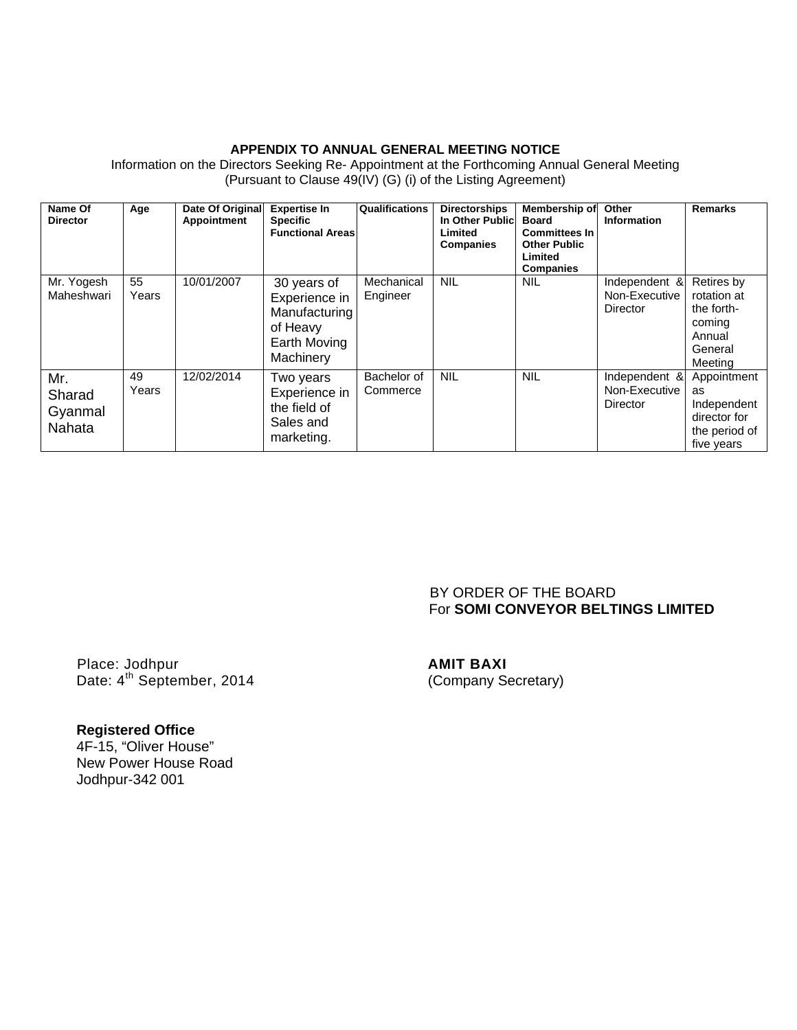#### **APPENDIX TO ANNUAL GENERAL MEETING NOTICE**

| Name Of<br><b>Director</b>         | Age         | Date Of Original<br>Appointment | <b>Expertise In</b><br><b>Specific</b><br><b>Functional Areas</b>                      | Qualifications          | <b>Directorships</b><br>In Other Public<br>Limited<br><b>Companies</b> | Membership of<br><b>Board</b><br><b>Committees In</b><br><b>Other Public</b><br>Limited<br><b>Companies</b> | Other<br><b>Information</b>                       | <b>Remarks</b>                                                                    |
|------------------------------------|-------------|---------------------------------|----------------------------------------------------------------------------------------|-------------------------|------------------------------------------------------------------------|-------------------------------------------------------------------------------------------------------------|---------------------------------------------------|-----------------------------------------------------------------------------------|
| Mr. Yogesh<br>Maheshwari           | 55<br>Years | 10/01/2007                      | 30 years of<br>Experience in<br>Manufacturing<br>of Heavy<br>Earth Moving<br>Machinery | Mechanical<br>Engineer  | <b>NIL</b>                                                             | <b>NIL</b>                                                                                                  | Independent &<br>Non-Executive<br><b>Director</b> | Retires by<br>rotation at<br>the forth-<br>coming<br>Annual<br>General<br>Meeting |
| Mr.<br>Sharad<br>Gyanmal<br>Nahata | 49<br>Years | 12/02/2014                      | Two years<br>Experience in<br>the field of<br>Sales and<br>marketing.                  | Bachelor of<br>Commerce | <b>NIL</b>                                                             | <b>NIL</b>                                                                                                  | Independent &<br>Non-Executive<br><b>Director</b> | Appointment<br>as<br>Independent<br>director for<br>the period of<br>five years   |

Information on the Directors Seeking Re- Appointment at the Forthcoming Annual General Meeting (Pursuant to Clause 49(IV) (G) (i) of the Listing Agreement)

# BY ORDER OF THE BOARD For **SOMI CONVEYOR BELTINGS LIMITED**

Place: Jodhpur **AMIT BAXI** Date: 4<sup>th</sup> September, 2014 (Company Secretary)

# **Registered Office**

4F-15, "Oliver House" New Power House Road Jodhpur-342 001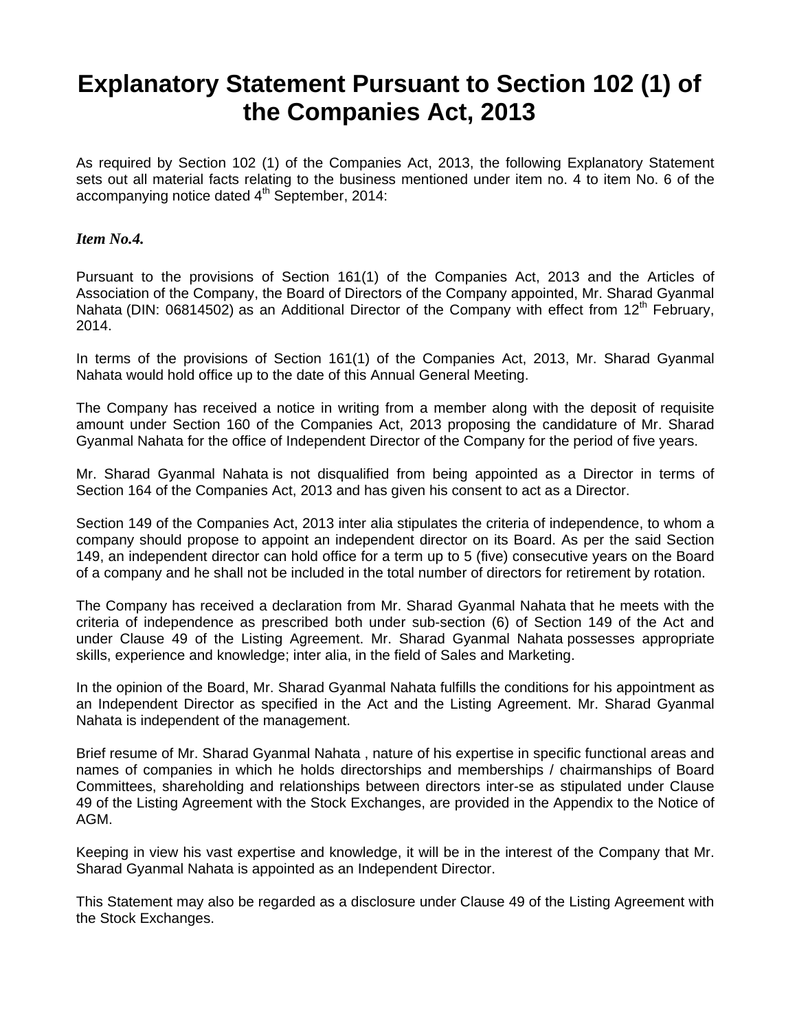# **Explanatory Statement Pursuant to Section 102 (1) of the Companies Act, 2013**

As required by Section 102 (1) of the Companies Act, 2013, the following Explanatory Statement sets out all material facts relating to the business mentioned under item no. 4 to item No. 6 of the accompanying notice dated  $4<sup>th</sup>$  September, 2014:

### *Item No.4.*

Pursuant to the provisions of Section 161(1) of the Companies Act, 2013 and the Articles of Association of the Company, the Board of Directors of the Company appointed, Mr. Sharad Gyanmal Nahata (DIN: 06814502) as an Additional Director of the Company with effect from 12<sup>th</sup> February, 2014.

In terms of the provisions of Section 161(1) of the Companies Act, 2013, Mr. Sharad Gyanmal Nahata would hold office up to the date of this Annual General Meeting.

The Company has received a notice in writing from a member along with the deposit of requisite amount under Section 160 of the Companies Act, 2013 proposing the candidature of Mr. Sharad Gyanmal Nahata for the office of Independent Director of the Company for the period of five years.

Mr. Sharad Gyanmal Nahata is not disqualified from being appointed as a Director in terms of Section 164 of the Companies Act, 2013 and has given his consent to act as a Director.

Section 149 of the Companies Act, 2013 inter alia stipulates the criteria of independence, to whom a company should propose to appoint an independent director on its Board. As per the said Section 149, an independent director can hold office for a term up to 5 (five) consecutive years on the Board of a company and he shall not be included in the total number of directors for retirement by rotation.

The Company has received a declaration from Mr. Sharad Gyanmal Nahata that he meets with the criteria of independence as prescribed both under sub-section (6) of Section 149 of the Act and under Clause 49 of the Listing Agreement. Mr. Sharad Gyanmal Nahata possesses appropriate skills, experience and knowledge; inter alia, in the field of Sales and Marketing.

In the opinion of the Board, Mr. Sharad Gyanmal Nahata fulfills the conditions for his appointment as an Independent Director as specified in the Act and the Listing Agreement. Mr. Sharad Gyanmal Nahata is independent of the management.

Brief resume of Mr. Sharad Gyanmal Nahata , nature of his expertise in specific functional areas and names of companies in which he holds directorships and memberships / chairmanships of Board Committees, shareholding and relationships between directors inter-se as stipulated under Clause 49 of the Listing Agreement with the Stock Exchanges, are provided in the Appendix to the Notice of AGM.

Keeping in view his vast expertise and knowledge, it will be in the interest of the Company that Mr. Sharad Gyanmal Nahata is appointed as an Independent Director.

This Statement may also be regarded as a disclosure under Clause 49 of the Listing Agreement with the Stock Exchanges.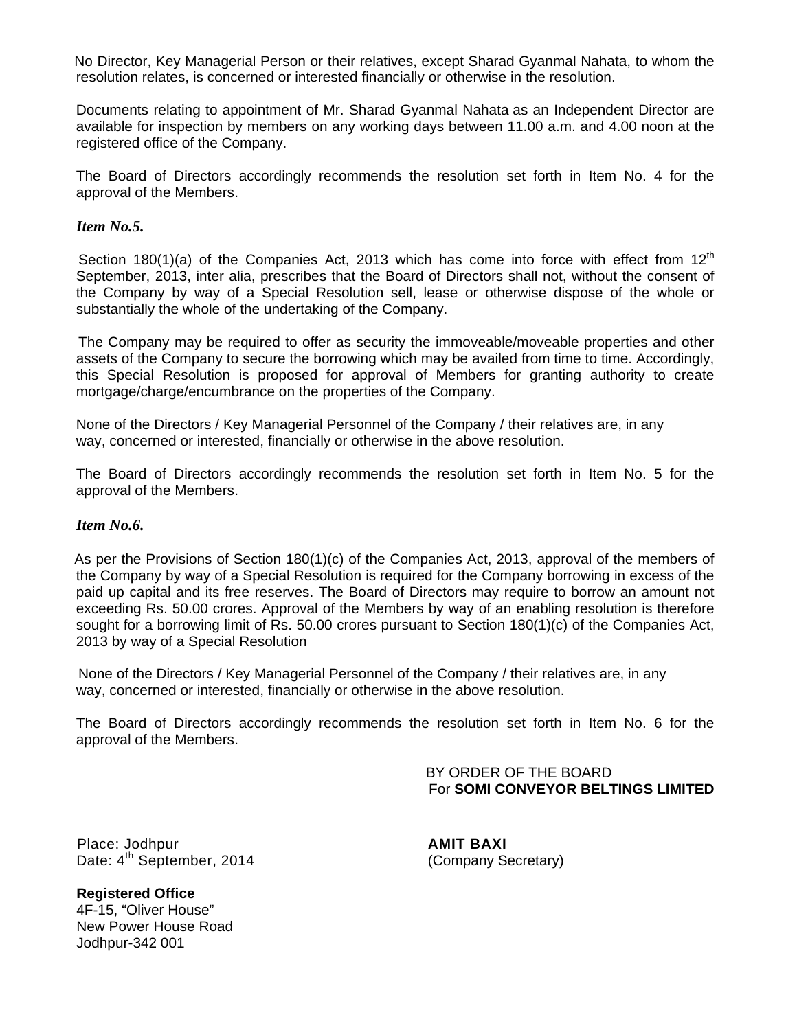No Director, Key Managerial Person or their relatives, except Sharad Gyanmal Nahata, to whom the resolution relates, is concerned or interested financially or otherwise in the resolution.

Documents relating to appointment of Mr. Sharad Gyanmal Nahata as an Independent Director are available for inspection by members on any working days between 11.00 a.m. and 4.00 noon at the registered office of the Company.

The Board of Directors accordingly recommends the resolution set forth in Item No. 4 for the approval of the Members.

#### *Item No.5.*

Section 180(1)(a) of the Companies Act, 2013 which has come into force with effect from  $12<sup>th</sup>$ September, 2013, inter alia, prescribes that the Board of Directors shall not, without the consent of the Company by way of a Special Resolution sell, lease or otherwise dispose of the whole or substantially the whole of the undertaking of the Company.

 The Company may be required to offer as security the immoveable/moveable properties and other assets of the Company to secure the borrowing which may be availed from time to time. Accordingly, this Special Resolution is proposed for approval of Members for granting authority to create mortgage/charge/encumbrance on the properties of the Company.

None of the Directors / Key Managerial Personnel of the Company / their relatives are, in any way, concerned or interested, financially or otherwise in the above resolution.

The Board of Directors accordingly recommends the resolution set forth in Item No. 5 for the approval of the Members.

#### *Item No.6.*

 As per the Provisions of Section 180(1)(c) of the Companies Act, 2013, approval of the members of the Company by way of a Special Resolution is required for the Company borrowing in excess of the paid up capital and its free reserves. The Board of Directors may require to borrow an amount not exceeding Rs. 50.00 crores. Approval of the Members by way of an enabling resolution is therefore sought for a borrowing limit of Rs. 50.00 crores pursuant to Section 180(1)(c) of the Companies Act, 2013 by way of a Special Resolution

None of the Directors / Key Managerial Personnel of the Company / their relatives are, in any way, concerned or interested, financially or otherwise in the above resolution.

The Board of Directors accordingly recommends the resolution set forth in Item No. 6 for the approval of the Members.

> BY ORDER OF THE BOARD For **SOMI CONVEYOR BELTINGS LIMITED**

Place: Jodhpur **AMIT BAXI** Date:  $4^{\text{th}}$  September, 2014 (Company Secretary)

**Registered Office**  4F-15, "Oliver House" New Power House Road Jodhpur-342 001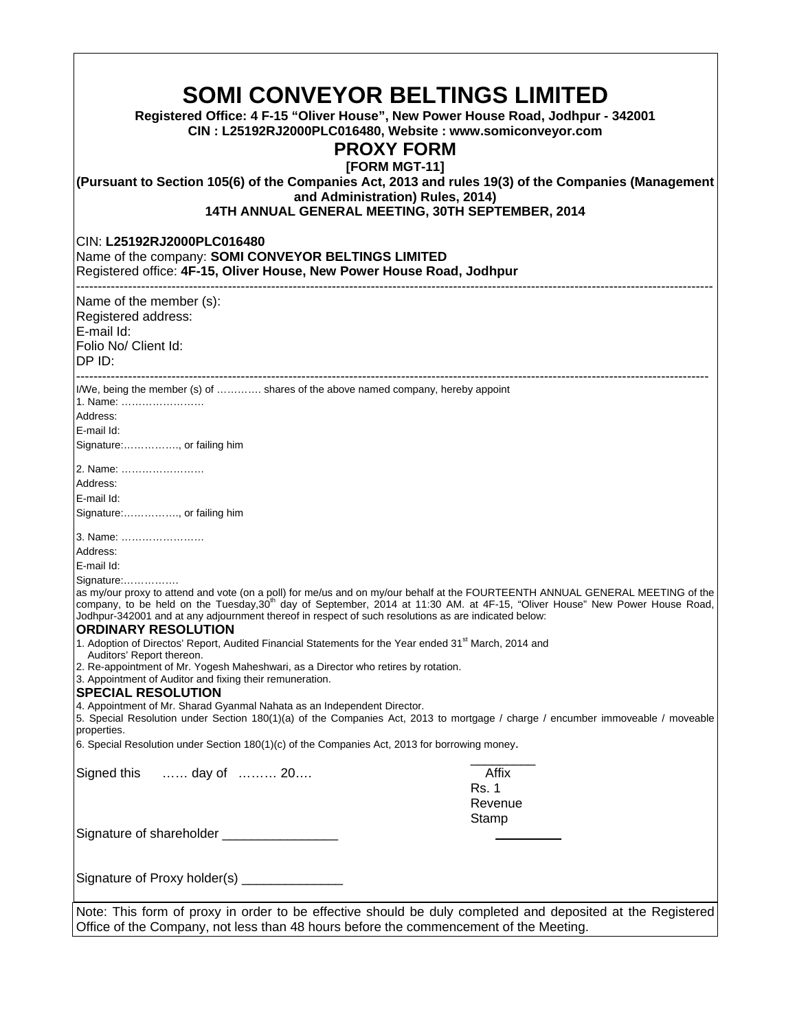| <b>SOMI CONVEYOR BELTINGS LIMITED</b><br>Registered Office: 4 F-15 "Oliver House", New Power House Road, Jodhpur - 342001<br>CIN: L25192RJ2000PLC016480, Website: www.somiconveyor.com<br><b>PROXY FORM</b><br>[FORM MGT-11]<br>(Pursuant to Section 105(6) of the Companies Act, 2013 and rules 19(3) of the Companies (Management<br>and Administration) Rules, 2014)                                                     |                           |  |  |  |  |
|-----------------------------------------------------------------------------------------------------------------------------------------------------------------------------------------------------------------------------------------------------------------------------------------------------------------------------------------------------------------------------------------------------------------------------|---------------------------|--|--|--|--|
| 14TH ANNUAL GENERAL MEETING, 30TH SEPTEMBER, 2014                                                                                                                                                                                                                                                                                                                                                                           |                           |  |  |  |  |
| CIN: L25192RJ2000PLC016480<br>Name of the company: SOMI CONVEYOR BELTINGS LIMITED<br>Registered office: 4F-15, Oliver House, New Power House Road, Jodhpur                                                                                                                                                                                                                                                                  |                           |  |  |  |  |
| Name of the member (s):                                                                                                                                                                                                                                                                                                                                                                                                     |                           |  |  |  |  |
| Registered address:                                                                                                                                                                                                                                                                                                                                                                                                         |                           |  |  |  |  |
| E-mail Id:<br>Folio No/ Client Id:                                                                                                                                                                                                                                                                                                                                                                                          |                           |  |  |  |  |
| DP ID:                                                                                                                                                                                                                                                                                                                                                                                                                      |                           |  |  |  |  |
| I/We, being the member (s) of  shares of the above named company, hereby appoint<br>1. Name:                                                                                                                                                                                                                                                                                                                                |                           |  |  |  |  |
| Address:                                                                                                                                                                                                                                                                                                                                                                                                                    |                           |  |  |  |  |
| E-mail Id:                                                                                                                                                                                                                                                                                                                                                                                                                  |                           |  |  |  |  |
| Signature:, or failing him                                                                                                                                                                                                                                                                                                                                                                                                  |                           |  |  |  |  |
| 2. Name:                                                                                                                                                                                                                                                                                                                                                                                                                    |                           |  |  |  |  |
| Address:                                                                                                                                                                                                                                                                                                                                                                                                                    |                           |  |  |  |  |
| E-mail Id:                                                                                                                                                                                                                                                                                                                                                                                                                  |                           |  |  |  |  |
| Signature:, or failing him                                                                                                                                                                                                                                                                                                                                                                                                  |                           |  |  |  |  |
| 3. Name:                                                                                                                                                                                                                                                                                                                                                                                                                    |                           |  |  |  |  |
| Address:                                                                                                                                                                                                                                                                                                                                                                                                                    |                           |  |  |  |  |
| E-mail Id:                                                                                                                                                                                                                                                                                                                                                                                                                  |                           |  |  |  |  |
| Signature:<br>as my/our proxy to attend and vote (on a poll) for me/us and on my/our behalf at the FOURTEENTH ANNUAL GENERAL MEETING of the<br>company, to be held on the Tuesday,30 <sup>th</sup> day of September, 2014 at 11:30 AM. at 4F-15, "Oliver House" New Power House Road,<br>Jodhpur-342001 and at any adjournment thereof in respect of such resolutions as are indicated below:<br><b>ORDINARY RESOLUTION</b> |                           |  |  |  |  |
| 1. Adoption of Directos' Report, Audited Financial Statements for the Year ended 31 <sup>st</sup> March, 2014 and                                                                                                                                                                                                                                                                                                           |                           |  |  |  |  |
|                                                                                                                                                                                                                                                                                                                                                                                                                             | Auditors' Report thereon. |  |  |  |  |
| 2. Re-appointment of Mr. Yogesh Maheshwari, as a Director who retires by rotation.<br>3. Appointment of Auditor and fixing their remuneration.                                                                                                                                                                                                                                                                              |                           |  |  |  |  |
| <b>SPECIAL RESOLUTION</b>                                                                                                                                                                                                                                                                                                                                                                                                   |                           |  |  |  |  |
| 4. Appointment of Mr. Sharad Gyanmal Nahata as an Independent Director.<br>5. Special Resolution under Section 180(1)(a) of the Companies Act, 2013 to mortgage / charge / encumber immoveable / moveable<br>properties.                                                                                                                                                                                                    |                           |  |  |  |  |
| 6. Special Resolution under Section 180(1)(c) of the Companies Act, 2013 for borrowing money.                                                                                                                                                                                                                                                                                                                               |                           |  |  |  |  |
| day of  20<br>Signed this                                                                                                                                                                                                                                                                                                                                                                                                   | Affix                     |  |  |  |  |
|                                                                                                                                                                                                                                                                                                                                                                                                                             | <b>Rs. 1</b>              |  |  |  |  |
|                                                                                                                                                                                                                                                                                                                                                                                                                             | Revenue                   |  |  |  |  |
|                                                                                                                                                                                                                                                                                                                                                                                                                             | Stamp                     |  |  |  |  |
| Signature of shareholder _________________                                                                                                                                                                                                                                                                                                                                                                                  |                           |  |  |  |  |
|                                                                                                                                                                                                                                                                                                                                                                                                                             |                           |  |  |  |  |
| Signature of Proxy holder(s) ______________                                                                                                                                                                                                                                                                                                                                                                                 |                           |  |  |  |  |
| Note: This form of proxy in order to be effective should be duly completed and deposited at the Registered                                                                                                                                                                                                                                                                                                                  |                           |  |  |  |  |
| Office of the Company, not less than 48 hours before the commencement of the Meeting.                                                                                                                                                                                                                                                                                                                                       |                           |  |  |  |  |